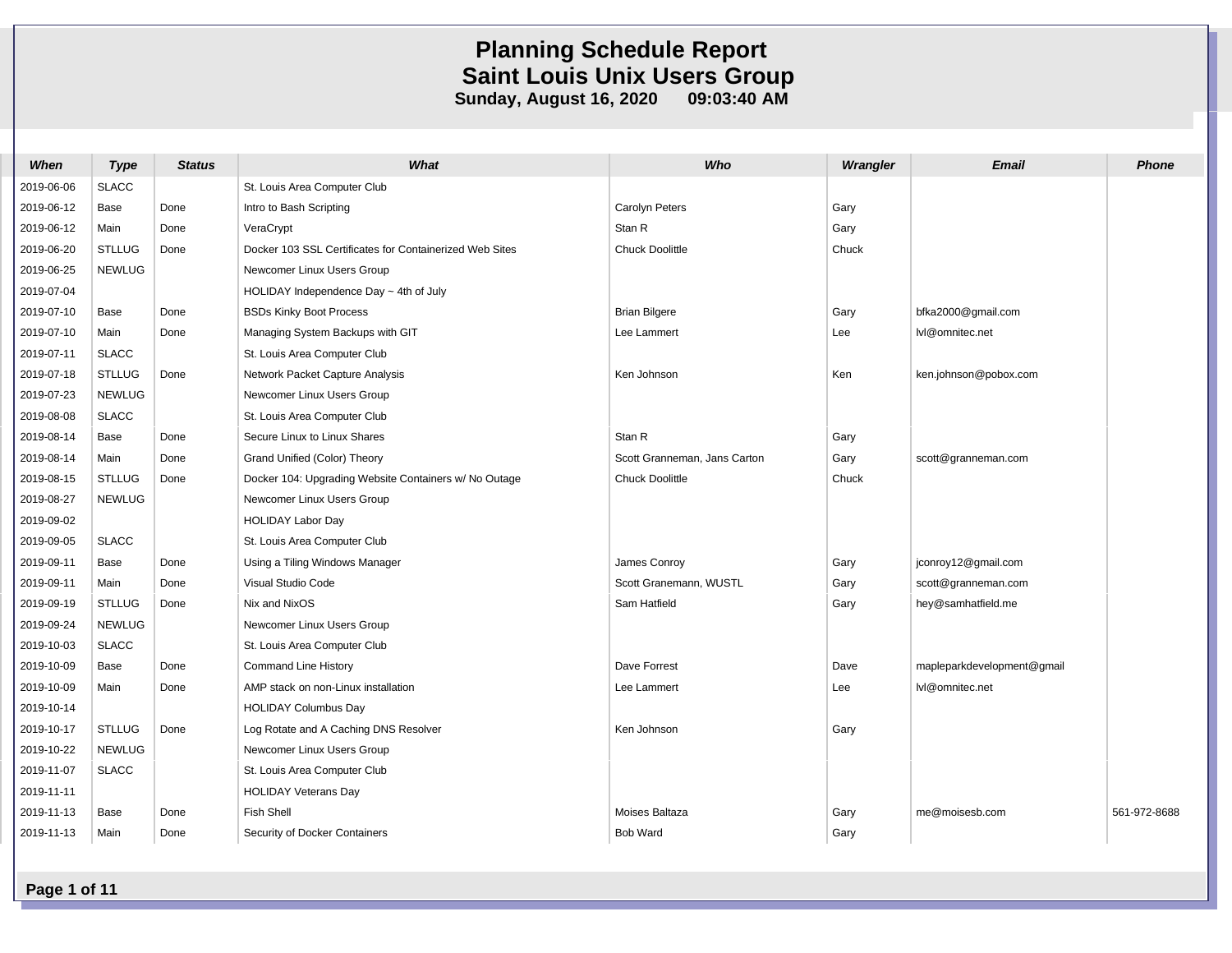| When       | <b>Type</b>   | <b>Status</b> | What                                                    | Who                          | Wrangler | <b>Email</b>               | <b>Phone</b> |
|------------|---------------|---------------|---------------------------------------------------------|------------------------------|----------|----------------------------|--------------|
| 2019-06-06 | <b>SLACC</b>  |               | St. Louis Area Computer Club                            |                              |          |                            |              |
| 2019-06-12 | Base          | Done          | Intro to Bash Scripting                                 | <b>Carolyn Peters</b>        | Gary     |                            |              |
| 2019-06-12 | Main          | Done          | VeraCrypt                                               | Stan R                       | Gary     |                            |              |
| 2019-06-20 | <b>STLLUG</b> | Done          | Docker 103 SSL Certificates for Containerized Web Sites | Chuck Doolittle              | Chuck    |                            |              |
| 2019-06-25 | <b>NEWLUG</b> |               | Newcomer Linux Users Group                              |                              |          |                            |              |
| 2019-07-04 |               |               | HOLIDAY Independence Day $\sim$ 4th of July             |                              |          |                            |              |
| 2019-07-10 | Base          | Done          | <b>BSDs Kinky Boot Process</b>                          | <b>Brian Bilgere</b>         | Gary     | bfka2000@gmail.com         |              |
| 2019-07-10 | Main          | Done          | Managing System Backups with GIT                        | Lee Lammert                  | Lee      | lvl@omnitec.net            |              |
| 2019-07-11 | <b>SLACC</b>  |               | St. Louis Area Computer Club                            |                              |          |                            |              |
| 2019-07-18 | <b>STLLUG</b> | Done          | Network Packet Capture Analysis                         | Ken Johnson                  | Ken      | ken.johnson@pobox.com      |              |
| 2019-07-23 | <b>NEWLUG</b> |               | Newcomer Linux Users Group                              |                              |          |                            |              |
| 2019-08-08 | <b>SLACC</b>  |               | St. Louis Area Computer Club                            |                              |          |                            |              |
| 2019-08-14 | Base          | Done          | Secure Linux to Linux Shares                            | Stan R                       | Gary     |                            |              |
| 2019-08-14 | Main          | Done          | Grand Unified (Color) Theory                            | Scott Granneman, Jans Carton | Gary     | scott@granneman.com        |              |
| 2019-08-15 | <b>STLLUG</b> | Done          | Docker 104: Upgrading Website Containers w/ No Outage   | Chuck Doolittle              | Chuck    |                            |              |
| 2019-08-27 | <b>NEWLUG</b> |               | Newcomer Linux Users Group                              |                              |          |                            |              |
| 2019-09-02 |               |               | <b>HOLIDAY Labor Day</b>                                |                              |          |                            |              |
| 2019-09-05 | <b>SLACC</b>  |               | St. Louis Area Computer Club                            |                              |          |                            |              |
| 2019-09-11 | Base          | Done          | Using a Tiling Windows Manager                          | James Conroy                 | Gary     | jconroy12@gmail.com        |              |
| 2019-09-11 | Main          | Done          | Visual Studio Code                                      | Scott Granemann, WUSTL       | Gary     | scott@granneman.com        |              |
| 2019-09-19 | <b>STLLUG</b> | Done          | Nix and NixOS                                           | Sam Hatfield                 | Gary     | hey@samhatfield.me         |              |
| 2019-09-24 | <b>NEWLUG</b> |               | Newcomer Linux Users Group                              |                              |          |                            |              |
| 2019-10-03 | <b>SLACC</b>  |               | St. Louis Area Computer Club                            |                              |          |                            |              |
| 2019-10-09 | Base          | Done          | <b>Command Line History</b>                             | Dave Forrest                 | Dave     | mapleparkdevelopment@gmail |              |
| 2019-10-09 | Main          | Done          | AMP stack on non-Linux installation                     | Lee Lammert                  | Lee      | lvl@omnitec.net            |              |
| 2019-10-14 |               |               | <b>HOLIDAY Columbus Day</b>                             |                              |          |                            |              |
| 2019-10-17 | <b>STLLUG</b> | Done          | Log Rotate and A Caching DNS Resolver                   | Ken Johnson                  | Gary     |                            |              |
| 2019-10-22 | <b>NEWLUG</b> |               | Newcomer Linux Users Group                              |                              |          |                            |              |
| 2019-11-07 | <b>SLACC</b>  |               | St. Louis Area Computer Club                            |                              |          |                            |              |
| 2019-11-11 |               |               | <b>HOLIDAY Veterans Day</b>                             |                              |          |                            |              |
| 2019-11-13 | Base          | Done          | Fish Shell                                              | Moises Baltaza               | Gary     | me@moisesb.com             | 561-972-8688 |
| 2019-11-13 | Main          | Done          | Security of Docker Containers                           | <b>Bob Ward</b>              | Gary     |                            |              |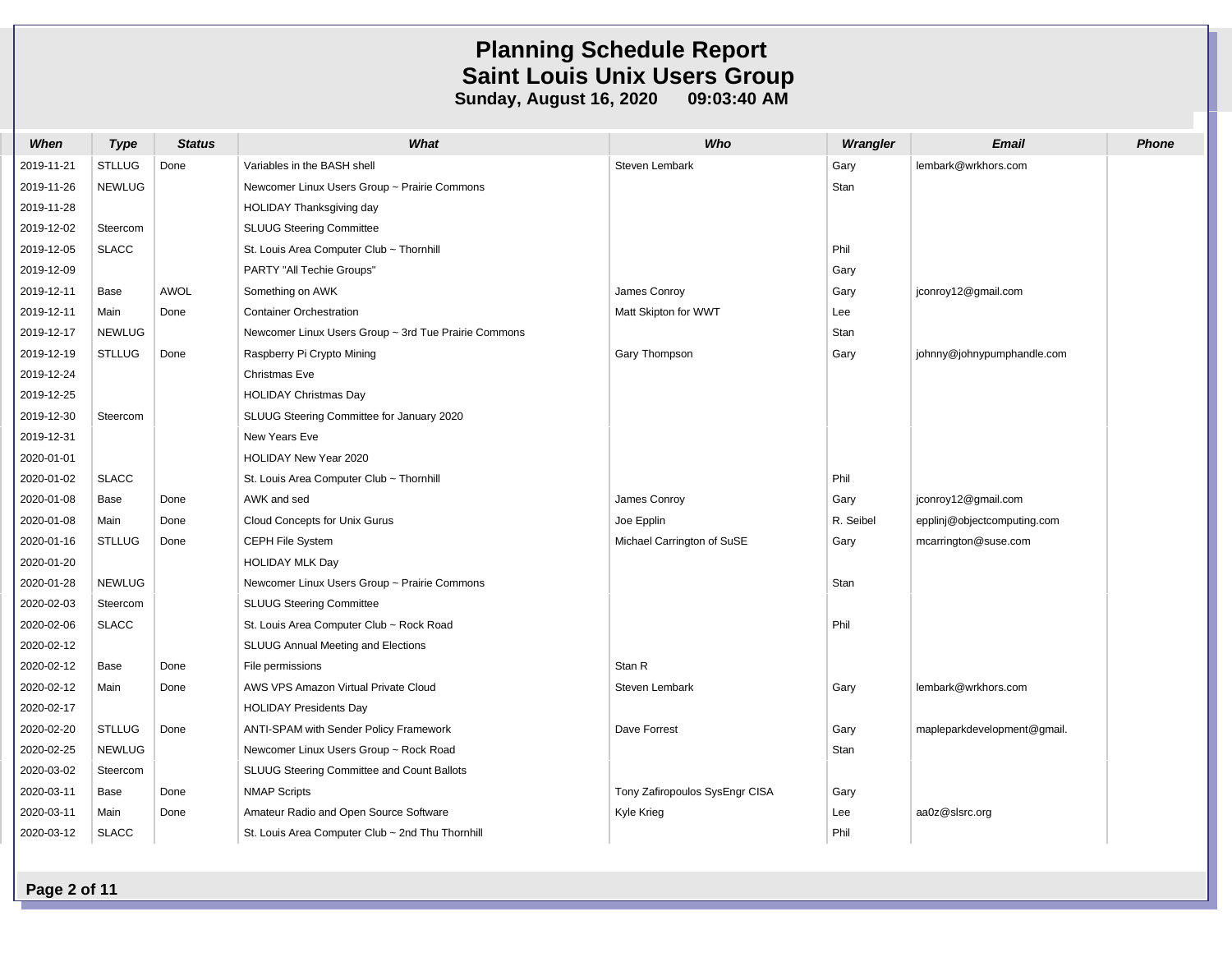| When       | <b>Type</b>   | <b>Status</b> | What                                                 | Who                            | Wrangler  | <b>Email</b>                | <b>Phone</b> |
|------------|---------------|---------------|------------------------------------------------------|--------------------------------|-----------|-----------------------------|--------------|
| 2019-11-21 | <b>STLLUG</b> | Done          | Variables in the BASH shell                          | Steven Lembark                 | Gary      | lembark@wrkhors.com         |              |
| 2019-11-26 | <b>NEWLUG</b> |               | Newcomer Linux Users Group ~ Prairie Commons         |                                | Stan      |                             |              |
| 2019-11-28 |               |               | HOLIDAY Thanksgiving day                             |                                |           |                             |              |
| 2019-12-02 | Steercom      |               | <b>SLUUG Steering Committee</b>                      |                                |           |                             |              |
| 2019-12-05 | <b>SLACC</b>  |               | St. Louis Area Computer Club ~ Thornhill             |                                | Phil      |                             |              |
| 2019-12-09 |               |               | PARTY "All Techie Groups"                            |                                | Gary      |                             |              |
| 2019-12-11 | Base          | <b>AWOL</b>   | Something on AWK                                     | James Conroy                   | Gary      | jconroy12@gmail.com         |              |
| 2019-12-11 | Main          | Done          | <b>Container Orchestration</b>                       | Matt Skipton for WWT           | Lee       |                             |              |
| 2019-12-17 | <b>NEWLUG</b> |               | Newcomer Linux Users Group ~ 3rd Tue Prairie Commons |                                | Stan      |                             |              |
| 2019-12-19 | <b>STLLUG</b> | Done          | Raspberry Pi Crypto Mining                           | Gary Thompson                  | Gary      | johnny@johnypumphandle.com  |              |
| 2019-12-24 |               |               | <b>Christmas Eve</b>                                 |                                |           |                             |              |
| 2019-12-25 |               |               | <b>HOLIDAY Christmas Day</b>                         |                                |           |                             |              |
| 2019-12-30 | Steercom      |               | SLUUG Steering Committee for January 2020            |                                |           |                             |              |
| 2019-12-31 |               |               | New Years Eve                                        |                                |           |                             |              |
| 2020-01-01 |               |               | HOLIDAY New Year 2020                                |                                |           |                             |              |
| 2020-01-02 | <b>SLACC</b>  |               | St. Louis Area Computer Club ~ Thornhill             |                                | Phil      |                             |              |
| 2020-01-08 | Base          | Done          | AWK and sed                                          | James Conroy                   | Gary      | jconroy12@gmail.com         |              |
| 2020-01-08 | Main          | Done          | Cloud Concepts for Unix Gurus                        | Joe Epplin                     | R. Seibel | epplinj@objectcomputing.com |              |
| 2020-01-16 | <b>STLLUG</b> | Done          | CEPH File System                                     | Michael Carrington of SuSE     | Gary      | mcarrington@suse.com        |              |
| 2020-01-20 |               |               | <b>HOLIDAY MLK Day</b>                               |                                |           |                             |              |
| 2020-01-28 | <b>NEWLUG</b> |               | Newcomer Linux Users Group ~ Prairie Commons         |                                | Stan      |                             |              |
| 2020-02-03 | Steercom      |               | <b>SLUUG Steering Committee</b>                      |                                |           |                             |              |
| 2020-02-06 | <b>SLACC</b>  |               | St. Louis Area Computer Club ~ Rock Road             |                                | Phil      |                             |              |
| 2020-02-12 |               |               | SLUUG Annual Meeting and Elections                   |                                |           |                             |              |
| 2020-02-12 | Base          | Done          | File permissions                                     | Stan R                         |           |                             |              |
| 2020-02-12 | Main          | Done          | AWS VPS Amazon Virtual Private Cloud                 | Steven Lembark                 | Gary      | lembark@wrkhors.com         |              |
| 2020-02-17 |               |               | <b>HOLIDAY Presidents Day</b>                        |                                |           |                             |              |
| 2020-02-20 | <b>STLLUG</b> | Done          | ANTI-SPAM with Sender Policy Framework               | Dave Forrest                   | Gary      | mapleparkdevelopment@gmail. |              |
| 2020-02-25 | <b>NEWLUG</b> |               | Newcomer Linux Users Group ~ Rock Road               |                                | Stan      |                             |              |
| 2020-03-02 | Steercom      |               | SLUUG Steering Committee and Count Ballots           |                                |           |                             |              |
| 2020-03-11 | Base          | Done          | <b>NMAP Scripts</b>                                  | Tony Zafiropoulos SysEngr CISA | Gary      |                             |              |
| 2020-03-11 | Main          | Done          | Amateur Radio and Open Source Software               | Kyle Krieg                     | Lee       | aa0z@slsrc.org              |              |
| 2020-03-12 | <b>SLACC</b>  |               | St. Louis Area Computer Club ~ 2nd Thu Thornhill     |                                | Phil      |                             |              |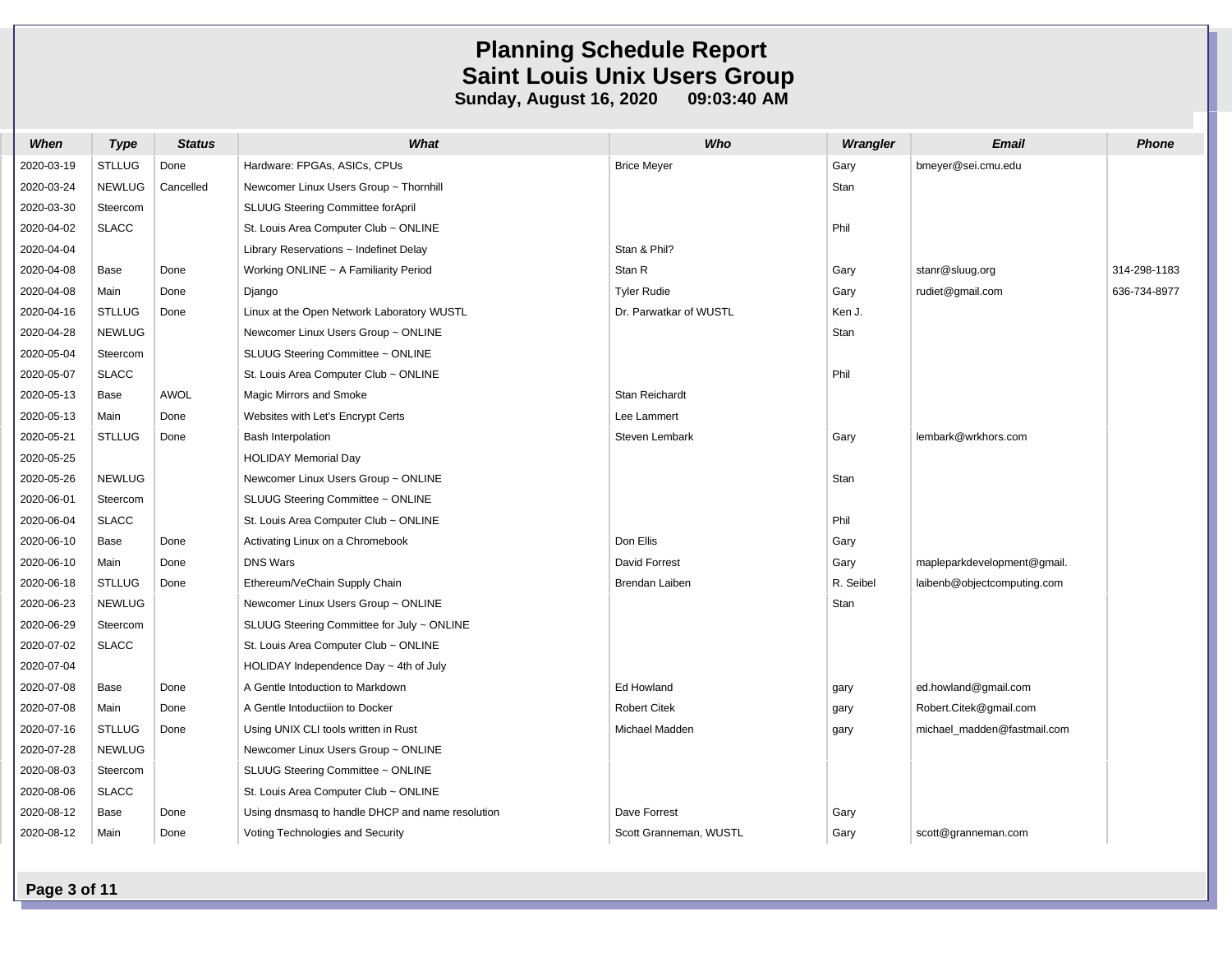| When       | Type          | <b>Status</b> | What                                             | Who                    | Wrangler  | Email                       | <b>Phone</b> |
|------------|---------------|---------------|--------------------------------------------------|------------------------|-----------|-----------------------------|--------------|
| 2020-03-19 | <b>STLLUG</b> | Done          | Hardware: FPGAs, ASICs, CPUs                     | <b>Brice Meyer</b>     | Gary      | bmeyer@sei.cmu.edu          |              |
| 2020-03-24 | <b>NEWLUG</b> | Cancelled     | Newcomer Linux Users Group ~ Thornhill           |                        | Stan      |                             |              |
| 2020-03-30 | Steercom      |               | SLUUG Steering Committee for April               |                        |           |                             |              |
| 2020-04-02 | <b>SLACC</b>  |               | St. Louis Area Computer Club ~ ONLINE            |                        | Phil      |                             |              |
| 2020-04-04 |               |               | Library Reservations $\sim$ Indefinet Delay      | Stan & Phil?           |           |                             |              |
| 2020-04-08 | Base          | Done          | Working ONLINE $\sim$ A Familiarity Period       | Stan R                 | Gary      | stanr@sluug.org             | 314-298-1183 |
| 2020-04-08 | Main          | Done          | Django                                           | <b>Tyler Rudie</b>     | Gary      | rudiet@gmail.com            | 636-734-8977 |
| 2020-04-16 | <b>STLLUG</b> | Done          | Linux at the Open Network Laboratory WUSTL       | Dr. Parwatkar of WUSTL | Ken J.    |                             |              |
| 2020-04-28 | <b>NEWLUG</b> |               | Newcomer Linux Users Group ~ ONLINE              |                        | Stan      |                             |              |
| 2020-05-04 | Steercom      |               | SLUUG Steering Committee ~ ONLINE                |                        |           |                             |              |
| 2020-05-07 | <b>SLACC</b>  |               | St. Louis Area Computer Club ~ ONLINE            |                        | Phil      |                             |              |
| 2020-05-13 | Base          | <b>AWOL</b>   | Magic Mirrors and Smoke                          | Stan Reichardt         |           |                             |              |
| 2020-05-13 | Main          | Done          | Websites with Let's Encrypt Certs                | Lee Lammert            |           |                             |              |
| 2020-05-21 | <b>STLLUG</b> | Done          | <b>Bash Interpolation</b>                        | Steven Lembark         | Gary      | lembark@wrkhors.com         |              |
| 2020-05-25 |               |               | <b>HOLIDAY Memorial Day</b>                      |                        |           |                             |              |
| 2020-05-26 | <b>NEWLUG</b> |               | Newcomer Linux Users Group ~ ONLINE              |                        | Stan      |                             |              |
| 2020-06-01 | Steercom      |               | SLUUG Steering Committee ~ ONLINE                |                        |           |                             |              |
| 2020-06-04 | <b>SLACC</b>  |               | St. Louis Area Computer Club ~ ONLINE            |                        | Phil      |                             |              |
| 2020-06-10 | Base          | Done          | Activating Linux on a Chromebook                 | Don Ellis              | Gary      |                             |              |
| 2020-06-10 | Main          | Done          | <b>DNS Wars</b>                                  | <b>David Forrest</b>   | Gary      | mapleparkdevelopment@gmail. |              |
| 2020-06-18 | <b>STLLUG</b> | Done          | Ethereum/VeChain Supply Chain                    | Brendan Laiben         | R. Seibel | laibenb@objectcomputing.com |              |
| 2020-06-23 | <b>NEWLUG</b> |               | Newcomer Linux Users Group ~ ONLINE              |                        | Stan      |                             |              |
| 2020-06-29 | Steercom      |               | SLUUG Steering Committee for July ~ ONLINE       |                        |           |                             |              |
| 2020-07-02 | <b>SLACC</b>  |               | St. Louis Area Computer Club ~ ONLINE            |                        |           |                             |              |
| 2020-07-04 |               |               | HOLIDAY Independence Day $\sim$ 4th of July      |                        |           |                             |              |
| 2020-07-08 | Base          | Done          | A Gentle Intoduction to Markdown                 | Ed Howland             | gary      | ed.howland@gmail.com        |              |
| 2020-07-08 | Main          | Done          | A Gentle Intoductiion to Docker                  | <b>Robert Citek</b>    | gary      | Robert.Citek@gmail.com      |              |
| 2020-07-16 | <b>STLLUG</b> | Done          | Using UNIX CLI tools written in Rust             | Michael Madden         | gary      | michael madden@fastmail.com |              |
| 2020-07-28 | <b>NEWLUG</b> |               | Newcomer Linux Users Group ~ ONLINE              |                        |           |                             |              |
| 2020-08-03 | Steercom      |               | SLUUG Steering Committee ~ ONLINE                |                        |           |                             |              |
| 2020-08-06 | <b>SLACC</b>  |               | St. Louis Area Computer Club ~ ONLINE            |                        |           |                             |              |
| 2020-08-12 | Base          | Done          | Using dnsmasq to handle DHCP and name resolution | Dave Forrest           | Gary      |                             |              |
| 2020-08-12 | Main          | Done          | Voting Technologies and Security                 | Scott Granneman, WUSTL | Gary      | scott@granneman.com         |              |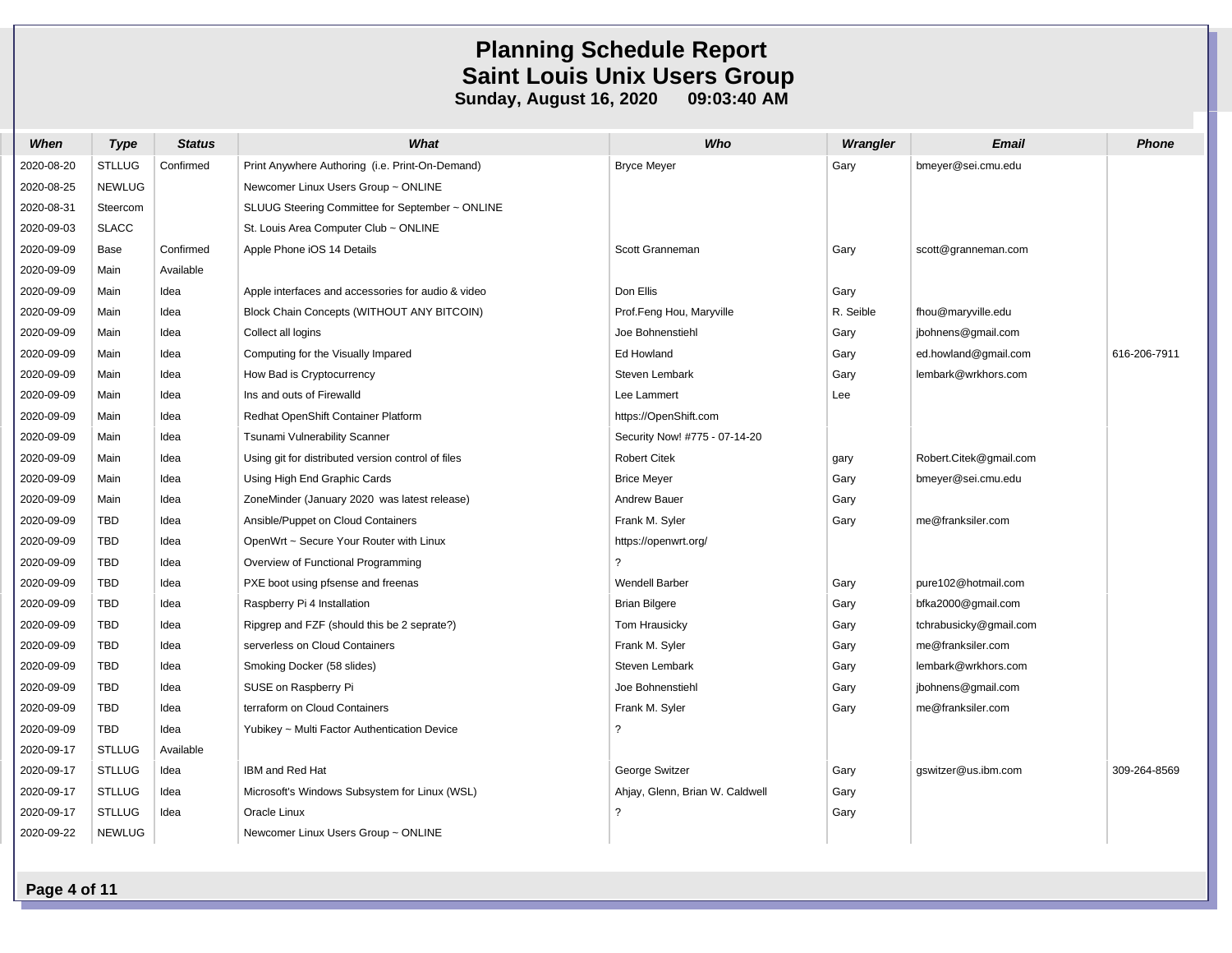| When       | <b>Type</b>   | <b>Status</b> | What                                               | Who                             | Wrangler  | <b>Email</b>           | <b>Phone</b> |
|------------|---------------|---------------|----------------------------------------------------|---------------------------------|-----------|------------------------|--------------|
| 2020-08-20 | <b>STLLUG</b> | Confirmed     | Print Anywhere Authoring (i.e. Print-On-Demand)    | <b>Bryce Meyer</b>              | Gary      | bmeyer@sei.cmu.edu     |              |
| 2020-08-25 | <b>NEWLUG</b> |               | Newcomer Linux Users Group ~ ONLINE                |                                 |           |                        |              |
| 2020-08-31 | Steercom      |               | SLUUG Steering Committee for September ~ ONLINE    |                                 |           |                        |              |
| 2020-09-03 | <b>SLACC</b>  |               | St. Louis Area Computer Club ~ ONLINE              |                                 |           |                        |              |
| 2020-09-09 | Base          | Confirmed     | Apple Phone iOS 14 Details                         | Scott Granneman                 | Gary      | scott@granneman.com    |              |
| 2020-09-09 | Main          | Available     |                                                    |                                 |           |                        |              |
| 2020-09-09 | Main          | Idea          | Apple interfaces and accessories for audio & video | Don Ellis                       | Gary      |                        |              |
| 2020-09-09 | Main          | Idea          | Block Chain Concepts (WITHOUT ANY BITCOIN)         | Prof.Feng Hou, Maryville        | R. Seible | fhou@maryville.edu     |              |
| 2020-09-09 | Main          | Idea          | Collect all logins                                 | Joe Bohnenstiehl                | Gary      | jbohnens@gmail.com     |              |
| 2020-09-09 | Main          | Idea          | Computing for the Visually Impared                 | Ed Howland                      | Gary      | ed.howland@gmail.com   | 616-206-7911 |
| 2020-09-09 | Main          | Idea          | How Bad is Cryptocurrency                          | Steven Lembark                  | Gary      | lembark@wrkhors.com    |              |
| 2020-09-09 | Main          | Idea          | Ins and outs of Firewalld                          | Lee Lammert                     | Lee       |                        |              |
| 2020-09-09 | Main          | Idea          | Redhat OpenShift Container Platform                | https://OpenShift.com           |           |                        |              |
| 2020-09-09 | Main          | Idea          | Tsunami Vulnerability Scanner                      | Security Now! #775 - 07-14-20   |           |                        |              |
| 2020-09-09 | Main          | Idea          | Using git for distributed version control of files | Robert Citek                    | gary      | Robert.Citek@gmail.com |              |
| 2020-09-09 | Main          | Idea          | Using High End Graphic Cards                       | <b>Brice Meyer</b>              | Gary      | bmeyer@sei.cmu.edu     |              |
| 2020-09-09 | Main          | Idea          | ZoneMinder (January 2020 was latest release)       | Andrew Bauer                    | Gary      |                        |              |
| 2020-09-09 | <b>TBD</b>    | Idea          | Ansible/Puppet on Cloud Containers                 | Frank M. Syler                  | Gary      | me@franksiler.com      |              |
| 2020-09-09 | TBD           | Idea          | OpenWrt ~ Secure Your Router with Linux            | https://openwrt.org/            |           |                        |              |
| 2020-09-09 | <b>TBD</b>    | Idea          | Overview of Functional Programming                 | 2                               |           |                        |              |
| 2020-09-09 | <b>TBD</b>    | Idea          | PXE boot using pfsense and freenas                 | <b>Wendell Barber</b>           | Gary      | pure102@hotmail.com    |              |
| 2020-09-09 | TBD           | Idea          | Raspberry Pi 4 Installation                        | <b>Brian Bilgere</b>            | Gary      | bfka2000@gmail.com     |              |
| 2020-09-09 | <b>TBD</b>    | Idea          | Ripgrep and FZF (should this be 2 seprate?)        | Tom Hrausicky                   | Gary      | tchrabusicky@gmail.com |              |
| 2020-09-09 | <b>TBD</b>    | Idea          | serverless on Cloud Containers                     | Frank M. Syler                  | Gary      | me@franksiler.com      |              |
| 2020-09-09 | <b>TBD</b>    | Idea          | Smoking Docker (58 slides)                         | Steven Lembark                  | Gary      | lembark@wrkhors.com    |              |
| 2020-09-09 | <b>TBD</b>    | Idea          | SUSE on Raspberry Pi                               | Joe Bohnenstiehl                | Gary      | jbohnens@gmail.com     |              |
| 2020-09-09 | <b>TBD</b>    | Idea          | terraform on Cloud Containers                      | Frank M. Syler                  | Gary      | me@franksiler.com      |              |
| 2020-09-09 | <b>TBD</b>    | Idea          | Yubikey ~ Multi Factor Authentication Device       | 2                               |           |                        |              |
| 2020-09-17 | <b>STLLUG</b> | Available     |                                                    |                                 |           |                        |              |
| 2020-09-17 | <b>STLLUG</b> | Idea          | IBM and Red Hat                                    | George Switzer                  | Gary      | gswitzer@us.ibm.com    | 309-264-8569 |
| 2020-09-17 | <b>STLLUG</b> | Idea          | Microsoft's Windows Subsystem for Linux (WSL)      | Ahjay, Glenn, Brian W. Caldwell | Gary      |                        |              |
| 2020-09-17 | <b>STLLUG</b> | Idea          | Oracle Linux                                       | $\overline{z}$                  | Gary      |                        |              |
| 2020-09-22 | <b>NEWLUG</b> |               | Newcomer Linux Users Group ~ ONLINE                |                                 |           |                        |              |

**Page 4 of 11**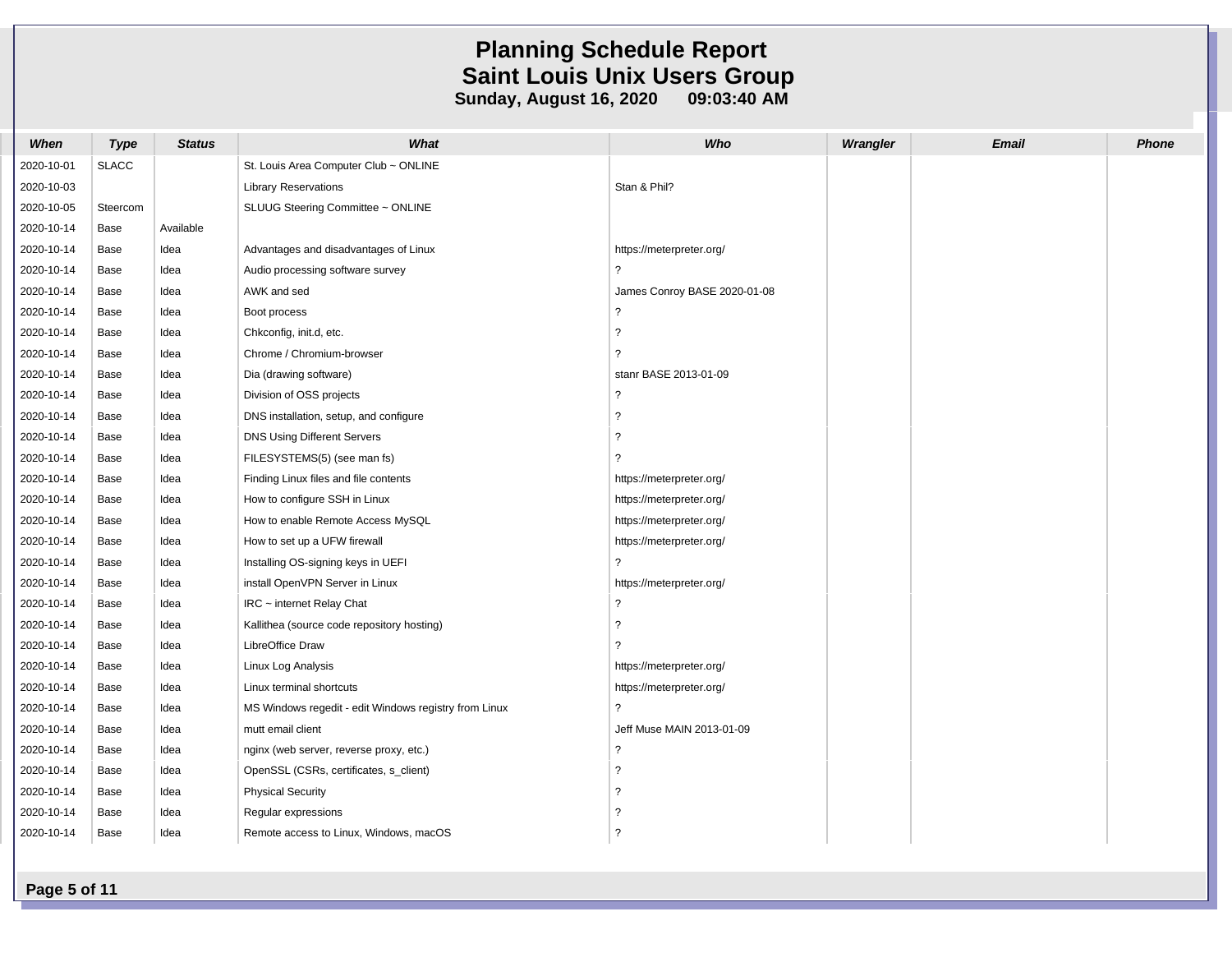| When       | <b>Type</b>  | <b>Status</b> | What                                                  | Who                          | Wrangler | <b>Email</b> | Phone |
|------------|--------------|---------------|-------------------------------------------------------|------------------------------|----------|--------------|-------|
| 2020-10-01 | <b>SLACC</b> |               | St. Louis Area Computer Club ~ ONLINE                 |                              |          |              |       |
| 2020-10-03 |              |               | <b>Library Reservations</b>                           | Stan & Phil?                 |          |              |       |
| 2020-10-05 | Steercom     |               | SLUUG Steering Committee ~ ONLINE                     |                              |          |              |       |
| 2020-10-14 | Base         | Available     |                                                       |                              |          |              |       |
| 2020-10-14 | Base         | Idea          | Advantages and disadvantages of Linux                 | https://meterpreter.org/     |          |              |       |
| 2020-10-14 | Base         | Idea          | Audio processing software survey                      | ?                            |          |              |       |
| 2020-10-14 | Base         | Idea          | AWK and sed                                           | James Conroy BASE 2020-01-08 |          |              |       |
| 2020-10-14 | Base         | Idea          | Boot process                                          | $\ddot{\phantom{0}}$         |          |              |       |
| 2020-10-14 | Base         | Idea          | Chkconfig, init.d, etc.                               | $\tilde{?}$                  |          |              |       |
| 2020-10-14 | Base         | Idea          | Chrome / Chromium-browser                             | $\overline{?}$               |          |              |       |
| 2020-10-14 | Base         | Idea          | Dia (drawing software)                                | stanr BASE 2013-01-09        |          |              |       |
| 2020-10-14 | Base         | Idea          | Division of OSS projects                              | $\ddot{\phantom{0}}$         |          |              |       |
| 2020-10-14 | Base         | Idea          | DNS installation, setup, and configure                | $\overline{\phantom{a}}$     |          |              |       |
| 2020-10-14 | Base         | Idea          | DNS Using Different Servers                           | $\overline{\phantom{a}}$     |          |              |       |
| 2020-10-14 | Base         | Idea          | FILESYSTEMS(5) (see man fs)                           | ?                            |          |              |       |
| 2020-10-14 | Base         | Idea          | Finding Linux files and file contents                 | https://meterpreter.org/     |          |              |       |
| 2020-10-14 | Base         | Idea          | How to configure SSH in Linux                         | https://meterpreter.org/     |          |              |       |
| 2020-10-14 | Base         | Idea          | How to enable Remote Access MySQL                     | https://meterpreter.org/     |          |              |       |
| 2020-10-14 | Base         | Idea          | How to set up a UFW firewall                          | https://meterpreter.org/     |          |              |       |
| 2020-10-14 | Base         | Idea          | Installing OS-signing keys in UEFI                    | $\overline{\phantom{a}}$     |          |              |       |
| 2020-10-14 | Base         | Idea          | install OpenVPN Server in Linux                       | https://meterpreter.org/     |          |              |       |
| 2020-10-14 | Base         | Idea          | $IRC$ ~ internet Relay Chat                           | $\overline{\phantom{0}}$     |          |              |       |
| 2020-10-14 | Base         | Idea          | Kallithea (source code repository hosting)            | $\tilde{ }$                  |          |              |       |
| 2020-10-14 | Base         | Idea          | LibreOffice Draw                                      | ?                            |          |              |       |
| 2020-10-14 | Base         | Idea          | Linux Log Analysis                                    | https://meterpreter.org/     |          |              |       |
| 2020-10-14 | Base         | Idea          | Linux terminal shortcuts                              | https://meterpreter.org/     |          |              |       |
| 2020-10-14 | Base         | Idea          | MS Windows regedit - edit Windows registry from Linux | $\overline{\phantom{0}}$     |          |              |       |
| 2020-10-14 | Base         | Idea          | mutt email client                                     | Jeff Muse MAIN 2013-01-09    |          |              |       |
| 2020-10-14 | Base         | Idea          | nginx (web server, reverse proxy, etc.)               | $\overline{\phantom{a}}$     |          |              |       |
| 2020-10-14 | Base         | Idea          | OpenSSL (CSRs, certificates, s_client)                | $\overline{\phantom{0}}$     |          |              |       |
| 2020-10-14 | Base         | Idea          | <b>Physical Security</b>                              | $\overline{?}$               |          |              |       |
| 2020-10-14 | Base         | Idea          | Regular expressions                                   | $\ddot{\phantom{0}}$         |          |              |       |
| 2020-10-14 | Base         | Idea          | Remote access to Linux, Windows, macOS                | $\overline{\phantom{a}}$     |          |              |       |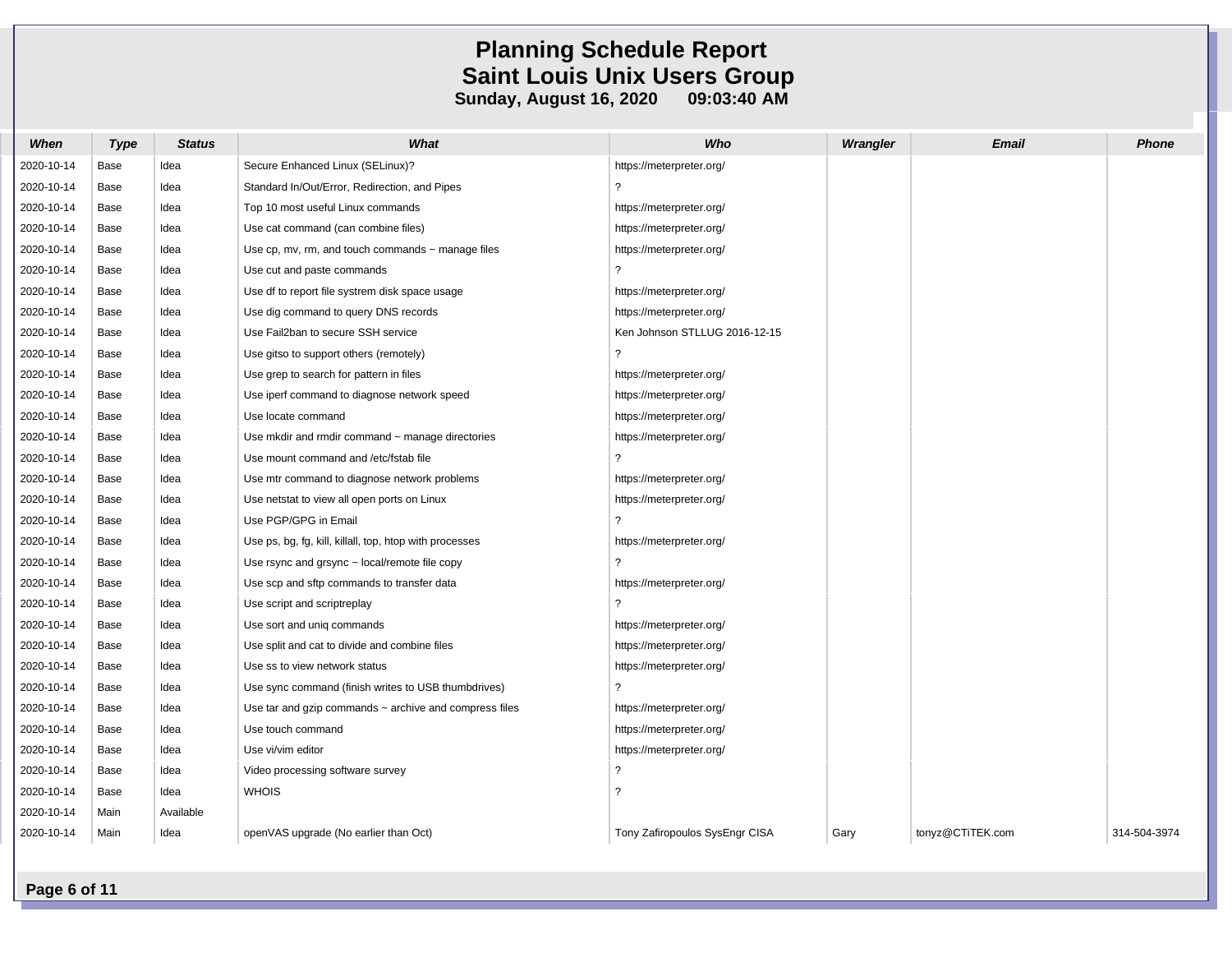| When       | <b>Type</b> | <b>Status</b> | What                                                        | Who                            | Wrangler | <b>Email</b>     | <b>Phone</b> |
|------------|-------------|---------------|-------------------------------------------------------------|--------------------------------|----------|------------------|--------------|
| 2020-10-14 | Base        | Idea          | Secure Enhanced Linux (SELinux)?                            | https://meterpreter.org/       |          |                  |              |
| 2020-10-14 | Base        | Idea          | Standard In/Out/Error, Redirection, and Pipes               | ?                              |          |                  |              |
| 2020-10-14 | Base        | Idea          | Top 10 most useful Linux commands                           | https://meterpreter.org/       |          |                  |              |
| 2020-10-14 | Base        | Idea          | Use cat command (can combine files)                         | https://meterpreter.org/       |          |                  |              |
| 2020-10-14 | Base        | Idea          | Use $cp$ , mv, rm, and touch commands $\sim$ manage files   | https://meterpreter.org/       |          |                  |              |
| 2020-10-14 | Base        | Idea          | Use cut and paste commands                                  | $\overline{?}$                 |          |                  |              |
| 2020-10-14 | Base        | Idea          | Use df to report file systrem disk space usage              | https://meterpreter.org/       |          |                  |              |
| 2020-10-14 | Base        | Idea          | Use dig command to query DNS records                        | https://meterpreter.org/       |          |                  |              |
| 2020-10-14 | Base        | Idea          | Use Fail2ban to secure SSH service                          | Ken Johnson STLLUG 2016-12-15  |          |                  |              |
| 2020-10-14 | Base        | Idea          | Use gitso to support others (remotely)                      | ?                              |          |                  |              |
| 2020-10-14 | Base        | Idea          | Use grep to search for pattern in files                     | https://meterpreter.org/       |          |                  |              |
| 2020-10-14 | Base        | Idea          | Use iperf command to diagnose network speed                 | https://meterpreter.org/       |          |                  |              |
| 2020-10-14 | Base        | Idea          | Use locate command                                          | https://meterpreter.org/       |          |                  |              |
| 2020-10-14 | Base        | Idea          | Use mkdir and rmdir command $\sim$ manage directories       | https://meterpreter.org/       |          |                  |              |
| 2020-10-14 | Base        | Idea          | Use mount command and /etc/fstab file                       | ?                              |          |                  |              |
| 2020-10-14 | Base        | Idea          | Use mtr command to diagnose network problems                | https://meterpreter.org/       |          |                  |              |
| 2020-10-14 | Base        | Idea          | Use netstat to view all open ports on Linux                 | https://meterpreter.org/       |          |                  |              |
| 2020-10-14 | Base        | Idea          | Use PGP/GPG in Email                                        | $\overline{?}$                 |          |                  |              |
| 2020-10-14 | Base        | Idea          | Use ps, bg, fg, kill, killall, top, htop with processes     | https://meterpreter.org/       |          |                  |              |
| 2020-10-14 | Base        | Idea          | Use rsync and grsync $\sim$ local/remote file copy          | $\overline{?}$                 |          |                  |              |
| 2020-10-14 | Base        | Idea          | Use scp and sftp commands to transfer data                  | https://meterpreter.org/       |          |                  |              |
| 2020-10-14 | Base        | Idea          | Use script and scriptreplay                                 | ?                              |          |                  |              |
| 2020-10-14 | Base        | Idea          | Use sort and uniq commands                                  | https://meterpreter.org/       |          |                  |              |
| 2020-10-14 | Base        | Idea          | Use split and cat to divide and combine files               | https://meterpreter.org/       |          |                  |              |
| 2020-10-14 | Base        | Idea          | Use ss to view network status                               | https://meterpreter.org/       |          |                  |              |
| 2020-10-14 | Base        | Idea          | Use sync command (finish writes to USB thumbdrives)         | ?                              |          |                  |              |
| 2020-10-14 | Base        | Idea          | Use tar and gzip commands $\sim$ archive and compress files | https://meterpreter.org/       |          |                  |              |
| 2020-10-14 | Base        | Idea          | Use touch command                                           | https://meterpreter.org/       |          |                  |              |
| 2020-10-14 | Base        | Idea          | Use vi/vim editor                                           | https://meterpreter.org/       |          |                  |              |
| 2020-10-14 | Base        | Idea          | Video processing software survey                            | $\overline{?}$                 |          |                  |              |
| 2020-10-14 | Base        | Idea          | <b>WHOIS</b>                                                | ?                              |          |                  |              |
| 2020-10-14 | Main        | Available     |                                                             |                                |          |                  |              |
| 2020-10-14 | Main        | Idea          | openVAS upgrade (No earlier than Oct)                       | Tony Zafiropoulos SysEngr CISA | Gary     | tonyz@CTiTEK.com | 314-504-3974 |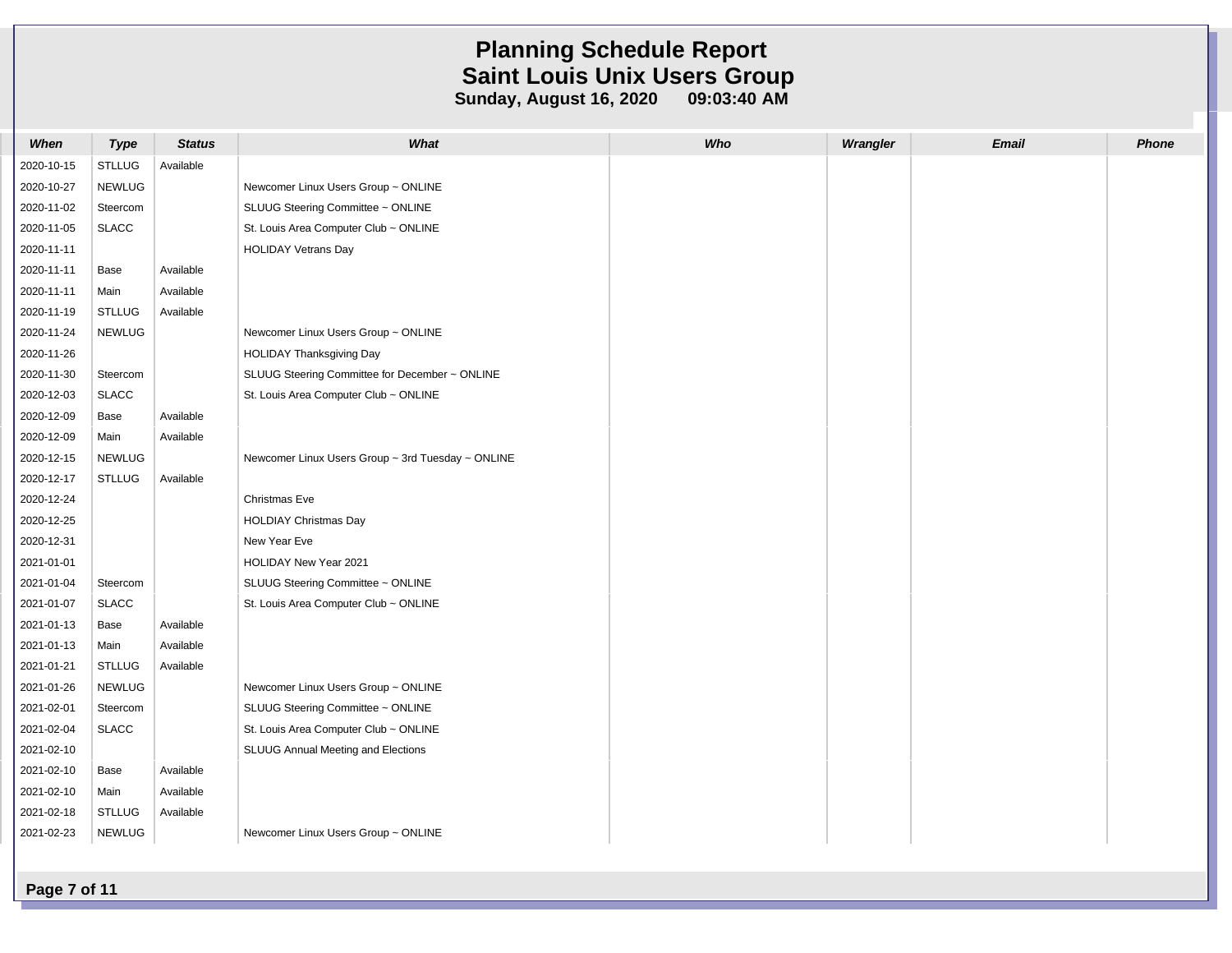| When       | <b>Type</b>   | <b>Status</b> | What                                              | Who | Wrangler | <b>Email</b> | <b>Phone</b> |
|------------|---------------|---------------|---------------------------------------------------|-----|----------|--------------|--------------|
| 2020-10-15 | <b>STLLUG</b> | Available     |                                                   |     |          |              |              |
| 2020-10-27 | <b>NEWLUG</b> |               | Newcomer Linux Users Group ~ ONLINE               |     |          |              |              |
| 2020-11-02 | Steercom      |               | SLUUG Steering Committee ~ ONLINE                 |     |          |              |              |
| 2020-11-05 | <b>SLACC</b>  |               | St. Louis Area Computer Club ~ ONLINE             |     |          |              |              |
| 2020-11-11 |               |               | <b>HOLIDAY Vetrans Day</b>                        |     |          |              |              |
| 2020-11-11 | Base          | Available     |                                                   |     |          |              |              |
| 2020-11-11 | Main          | Available     |                                                   |     |          |              |              |
| 2020-11-19 | <b>STLLUG</b> | Available     |                                                   |     |          |              |              |
| 2020-11-24 | <b>NEWLUG</b> |               | Newcomer Linux Users Group ~ ONLINE               |     |          |              |              |
| 2020-11-26 |               |               | <b>HOLIDAY Thanksgiving Day</b>                   |     |          |              |              |
| 2020-11-30 | Steercom      |               | SLUUG Steering Committee for December ~ ONLINE    |     |          |              |              |
| 2020-12-03 | <b>SLACC</b>  |               | St. Louis Area Computer Club ~ ONLINE             |     |          |              |              |
| 2020-12-09 | Base          | Available     |                                                   |     |          |              |              |
| 2020-12-09 | Main          | Available     |                                                   |     |          |              |              |
| 2020-12-15 | <b>NEWLUG</b> |               | Newcomer Linux Users Group ~ 3rd Tuesday ~ ONLINE |     |          |              |              |
| 2020-12-17 | <b>STLLUG</b> | Available     |                                                   |     |          |              |              |
| 2020-12-24 |               |               | Christmas Eve                                     |     |          |              |              |
| 2020-12-25 |               |               | <b>HOLDIAY Christmas Day</b>                      |     |          |              |              |
| 2020-12-31 |               |               | New Year Eve                                      |     |          |              |              |
| 2021-01-01 |               |               | HOLIDAY New Year 2021                             |     |          |              |              |
| 2021-01-04 | Steercom      |               | SLUUG Steering Committee ~ ONLINE                 |     |          |              |              |
| 2021-01-07 | <b>SLACC</b>  |               | St. Louis Area Computer Club ~ ONLINE             |     |          |              |              |
| 2021-01-13 | Base          | Available     |                                                   |     |          |              |              |
| 2021-01-13 | Main          | Available     |                                                   |     |          |              |              |
| 2021-01-21 | <b>STLLUG</b> | Available     |                                                   |     |          |              |              |
| 2021-01-26 | <b>NEWLUG</b> |               | Newcomer Linux Users Group ~ ONLINE               |     |          |              |              |
| 2021-02-01 | Steercom      |               | SLUUG Steering Committee ~ ONLINE                 |     |          |              |              |
| 2021-02-04 | <b>SLACC</b>  |               | St. Louis Area Computer Club ~ ONLINE             |     |          |              |              |
| 2021-02-10 |               |               | SLUUG Annual Meeting and Elections                |     |          |              |              |
| 2021-02-10 | Base          | Available     |                                                   |     |          |              |              |
| 2021-02-10 | Main          | Available     |                                                   |     |          |              |              |
| 2021-02-18 | <b>STLLUG</b> | Available     |                                                   |     |          |              |              |
| 2021-02-23 | <b>NEWLUG</b> |               | Newcomer Linux Users Group ~ ONLINE               |     |          |              |              |
|            |               |               |                                                   |     |          |              |              |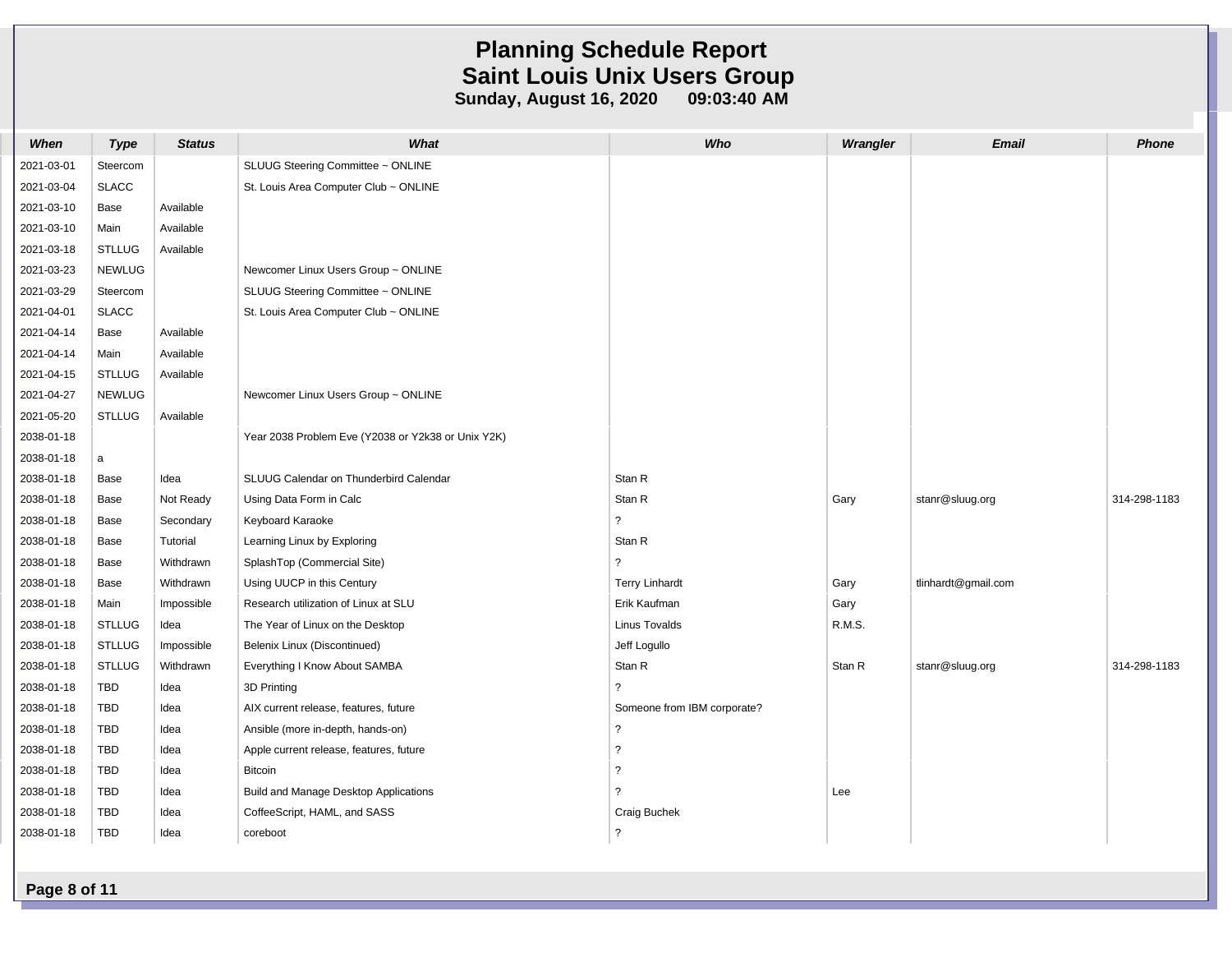| When       | <b>Type</b>   | <b>Status</b> | What                                               | Who                         | Wrangler | <b>Email</b>        | Phone        |
|------------|---------------|---------------|----------------------------------------------------|-----------------------------|----------|---------------------|--------------|
| 2021-03-01 | Steercom      |               | SLUUG Steering Committee ~ ONLINE                  |                             |          |                     |              |
| 2021-03-04 | <b>SLACC</b>  |               | St. Louis Area Computer Club ~ ONLINE              |                             |          |                     |              |
| 2021-03-10 | Base          | Available     |                                                    |                             |          |                     |              |
| 2021-03-10 | Main          | Available     |                                                    |                             |          |                     |              |
| 2021-03-18 | <b>STLLUG</b> | Available     |                                                    |                             |          |                     |              |
| 2021-03-23 | <b>NEWLUG</b> |               | Newcomer Linux Users Group ~ ONLINE                |                             |          |                     |              |
| 2021-03-29 | Steercom      |               | SLUUG Steering Committee ~ ONLINE                  |                             |          |                     |              |
| 2021-04-01 | <b>SLACC</b>  |               | St. Louis Area Computer Club ~ ONLINE              |                             |          |                     |              |
| 2021-04-14 | Base          | Available     |                                                    |                             |          |                     |              |
| 2021-04-14 | Main          | Available     |                                                    |                             |          |                     |              |
| 2021-04-15 | <b>STLLUG</b> | Available     |                                                    |                             |          |                     |              |
| 2021-04-27 | <b>NEWLUG</b> |               | Newcomer Linux Users Group ~ ONLINE                |                             |          |                     |              |
| 2021-05-20 | <b>STLLUG</b> | Available     |                                                    |                             |          |                     |              |
| 2038-01-18 |               |               | Year 2038 Problem Eve (Y2038 or Y2k38 or Unix Y2K) |                             |          |                     |              |
| 2038-01-18 | $\mathsf a$   |               |                                                    |                             |          |                     |              |
| 2038-01-18 | Base          | Idea          | SLUUG Calendar on Thunderbird Calendar             | Stan R                      |          |                     |              |
| 2038-01-18 | Base          | Not Ready     | Using Data Form in Calc                            | Stan R                      | Gary     | stanr@sluug.org     | 314-298-1183 |
| 2038-01-18 | Base          | Secondary     | Keyboard Karaoke                                   | $\overline{\phantom{a}}$    |          |                     |              |
| 2038-01-18 | Base          | Tutorial      | Learning Linux by Exploring                        | Stan R                      |          |                     |              |
| 2038-01-18 | Base          | Withdrawn     | SplashTop (Commercial Site)                        | $\overline{?}$              |          |                     |              |
| 2038-01-18 | Base          | Withdrawn     | Using UUCP in this Century                         | <b>Terry Linhardt</b>       | Gary     | tlinhardt@gmail.com |              |
| 2038-01-18 | Main          | Impossible    | Research utilization of Linux at SLU               | Erik Kaufman                | Gary     |                     |              |
| 2038-01-18 | <b>STLLUG</b> | Idea          | The Year of Linux on the Desktop                   | <b>Linus Tovalds</b>        | R.M.S.   |                     |              |
| 2038-01-18 | <b>STLLUG</b> | Impossible    | Belenix Linux (Discontinued)                       | Jeff Logullo                |          |                     |              |
| 2038-01-18 | <b>STLLUG</b> | Withdrawn     | Everything I Know About SAMBA                      | Stan R                      | Stan R   | stanr@sluug.org     | 314-298-1183 |
| 2038-01-18 | TBD           | Idea          | 3D Printing                                        | $\overline{\phantom{0}}$    |          |                     |              |
| 2038-01-18 | <b>TBD</b>    | Idea          | AIX current release, features, future              | Someone from IBM corporate? |          |                     |              |
| 2038-01-18 | TBD           | Idea          | Ansible (more in-depth, hands-on)                  | $\tilde{?}$                 |          |                     |              |
| 2038-01-18 | <b>TBD</b>    | Idea          | Apple current release, features, future            | $\overline{?}$              |          |                     |              |
| 2038-01-18 | TBD           | Idea          | <b>Bitcoin</b>                                     | $\tilde{ }$                 |          |                     |              |
| 2038-01-18 | TBD           | Idea          | Build and Manage Desktop Applications              | $\overline{2}$              | Lee      |                     |              |
| 2038-01-18 | <b>TBD</b>    | Idea          | CoffeeScript, HAML, and SASS                       | Craig Buchek                |          |                     |              |
| 2038-01-18 | <b>TBD</b>    | Idea          | coreboot                                           | $\ddot{\phantom{0}}$        |          |                     |              |
|            |               |               |                                                    |                             |          |                     |              |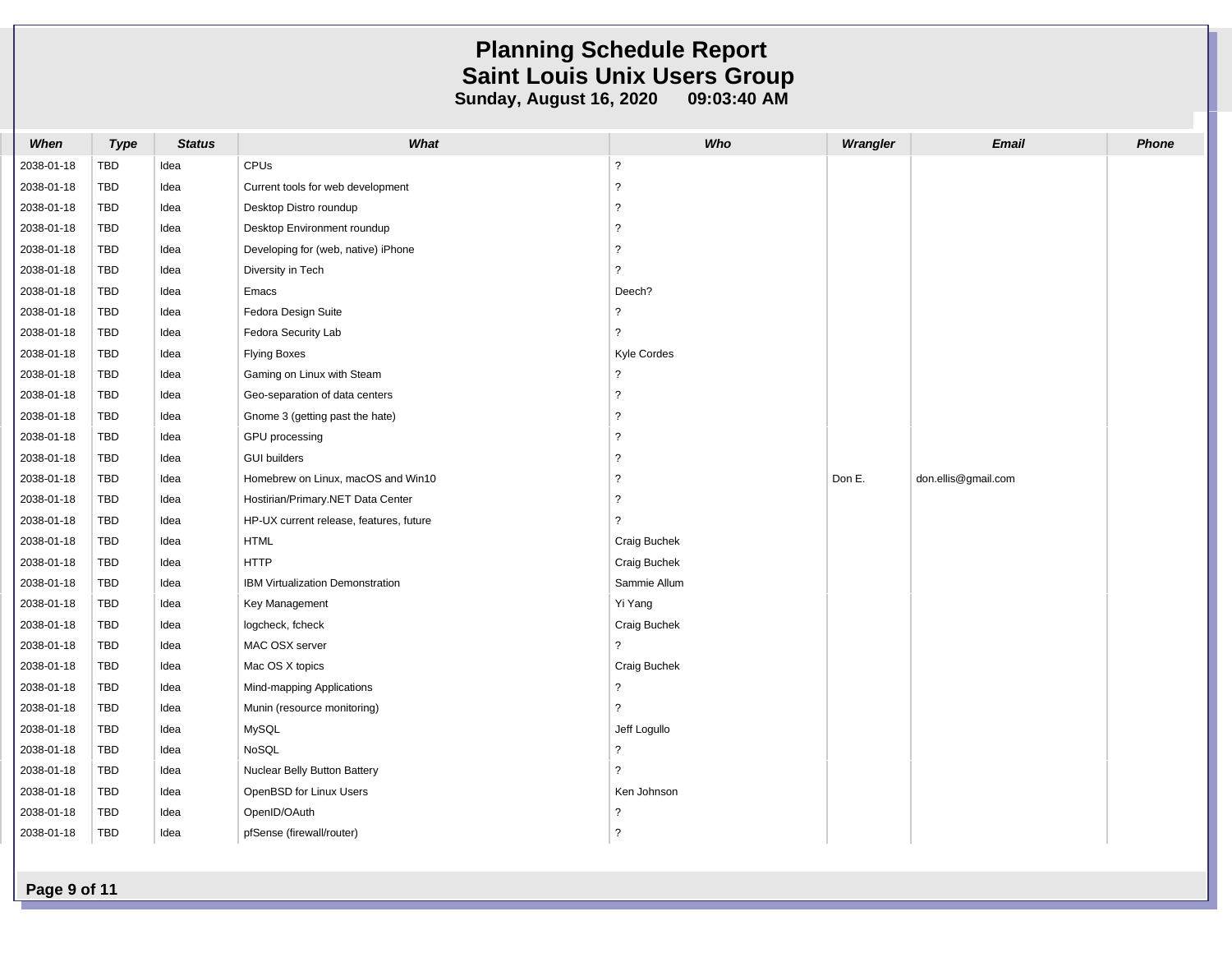| When       | <b>Type</b> | <b>Status</b> | What                                    | Who            | Wrangler | <b>Email</b>        | <b>Phone</b> |
|------------|-------------|---------------|-----------------------------------------|----------------|----------|---------------------|--------------|
| 2038-01-18 | TBD         | Idea          | CPUs                                    | $\overline{?}$ |          |                     |              |
| 2038-01-18 | TBD         | Idea          | Current tools for web development       | ?              |          |                     |              |
| 2038-01-18 | TBD         | Idea          | Desktop Distro roundup                  | $\overline{2}$ |          |                     |              |
| 2038-01-18 | TBD         | Idea          | Desktop Environment roundup             | ?              |          |                     |              |
| 2038-01-18 | <b>TBD</b>  | Idea          | Developing for (web, native) iPhone     | ?              |          |                     |              |
| 2038-01-18 | <b>TBD</b>  | Idea          | Diversity in Tech                       | ?              |          |                     |              |
| 2038-01-18 | TBD         | Idea          | Emacs                                   | Deech?         |          |                     |              |
| 2038-01-18 | TBD         | Idea          | Fedora Design Suite                     | ?              |          |                     |              |
| 2038-01-18 | TBD         | Idea          | Fedora Security Lab                     | ?              |          |                     |              |
| 2038-01-18 | TBD         | Idea          | <b>Flying Boxes</b>                     | Kyle Cordes    |          |                     |              |
| 2038-01-18 | TBD         | Idea          | Gaming on Linux with Steam              | 2              |          |                     |              |
| 2038-01-18 | TBD         | Idea          | Geo-separation of data centers          | ?              |          |                     |              |
| 2038-01-18 | TBD         | Idea          | Gnome 3 (getting past the hate)         | $\mathcal{P}$  |          |                     |              |
| 2038-01-18 | TBD         | Idea          | GPU processing                          | $\overline{2}$ |          |                     |              |
| 2038-01-18 | TBD         | Idea          | <b>GUI builders</b>                     | ?              |          |                     |              |
| 2038-01-18 | <b>TBD</b>  | Idea          | Homebrew on Linux, macOS and Win10      | ?              | Don E.   | don.ellis@gmail.com |              |
| 2038-01-18 | TBD         | Idea          | Hostirian/Primary.NET Data Center       | $\mathcal{P}$  |          |                     |              |
| 2038-01-18 | TBD         | Idea          | HP-UX current release, features, future |                |          |                     |              |
| 2038-01-18 | TBD         | Idea          | <b>HTML</b>                             | Craig Buchek   |          |                     |              |
| 2038-01-18 | TBD         | Idea          | <b>HTTP</b>                             | Craig Buchek   |          |                     |              |
| 2038-01-18 | TBD         | Idea          | IBM Virtualization Demonstration        | Sammie Allum   |          |                     |              |
| 2038-01-18 | TBD         | Idea          | Key Management                          | Yi Yang        |          |                     |              |
| 2038-01-18 | TBD         | Idea          | logcheck, fcheck                        | Craig Buchek   |          |                     |              |
| 2038-01-18 | TBD         | Idea          | MAC OSX server                          | ?              |          |                     |              |
| 2038-01-18 | TBD         | Idea          | Mac OS X topics                         | Craig Buchek   |          |                     |              |
| 2038-01-18 | TBD         | Idea          | Mind-mapping Applications               | ?              |          |                     |              |
| 2038-01-18 | TBD         | Idea          | Munin (resource monitoring)             | ?              |          |                     |              |
| 2038-01-18 | <b>TBD</b>  | Idea          | MySQL                                   | Jeff Logullo   |          |                     |              |
| 2038-01-18 | TBD         | Idea          | NoSQL                                   | 2              |          |                     |              |
| 2038-01-18 | <b>TBD</b>  | Idea          | Nuclear Belly Button Battery            |                |          |                     |              |
| 2038-01-18 | <b>TBD</b>  | Idea          | OpenBSD for Linux Users                 | Ken Johnson    |          |                     |              |
| 2038-01-18 | TBD         | Idea          | OpenID/OAuth                            | 2              |          |                     |              |
| 2038-01-18 | <b>TBD</b>  | Idea          | pfSense (firewall/router)               | 2              |          |                     |              |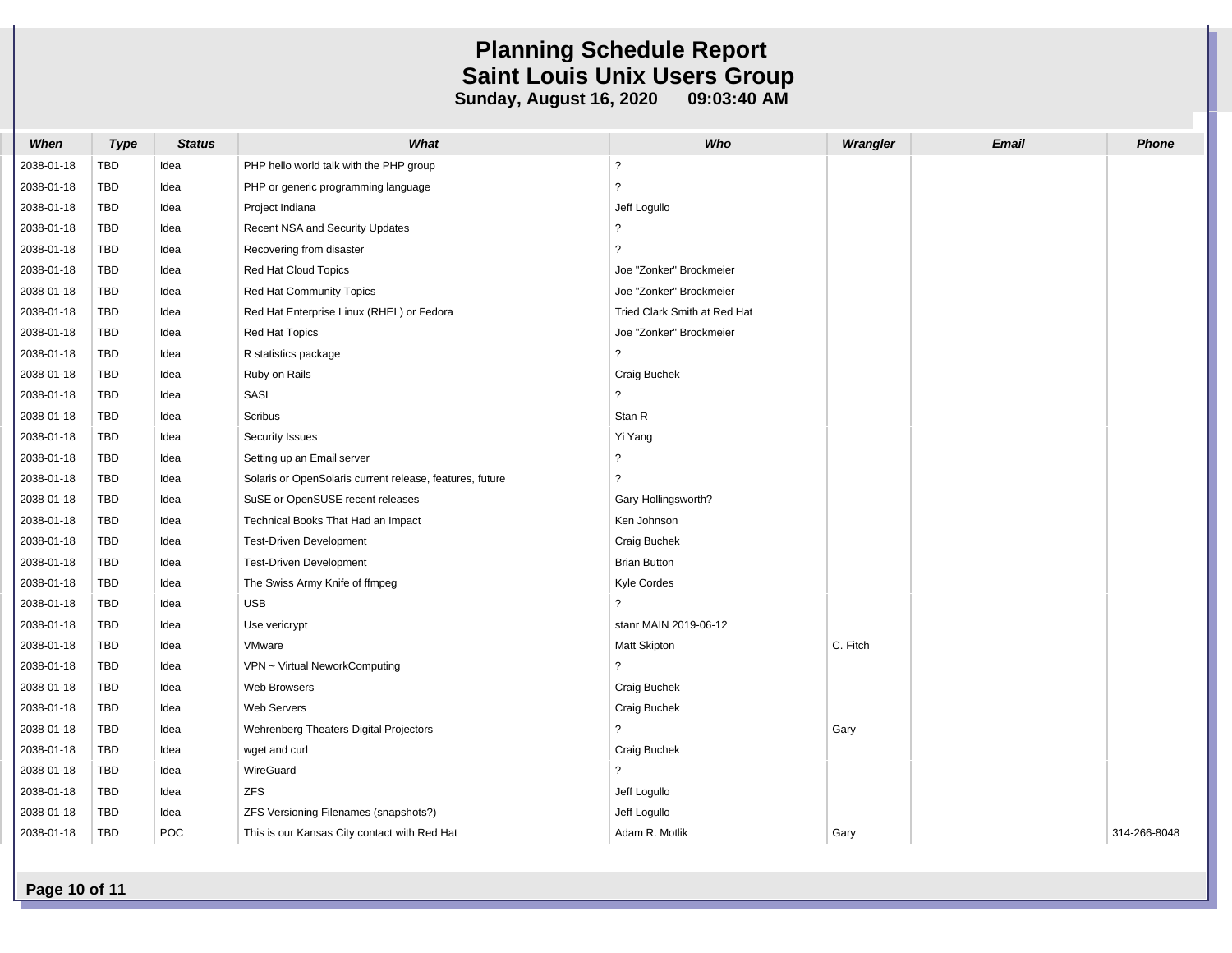| When       | <b>Type</b> | <b>Status</b> | What                                                     | Who                          | Wrangler | <b>Email</b> | <b>Phone</b> |
|------------|-------------|---------------|----------------------------------------------------------|------------------------------|----------|--------------|--------------|
| 2038-01-18 | <b>TBD</b>  | Idea          | PHP hello world talk with the PHP group                  | $\overline{?}$               |          |              |              |
| 2038-01-18 | TBD         | Idea          | PHP or generic programming language                      | ?                            |          |              |              |
| 2038-01-18 | <b>TBD</b>  | Idea          | Project Indiana                                          | Jeff Logullo                 |          |              |              |
| 2038-01-18 | <b>TBD</b>  | Idea          | Recent NSA and Security Updates                          | ?                            |          |              |              |
| 2038-01-18 | TBD         | Idea          | Recovering from disaster                                 | ?                            |          |              |              |
| 2038-01-18 | <b>TBD</b>  | Idea          | Red Hat Cloud Topics                                     | Joe "Zonker" Brockmeier      |          |              |              |
| 2038-01-18 | <b>TBD</b>  | Idea          | Red Hat Community Topics                                 | Joe "Zonker" Brockmeier      |          |              |              |
| 2038-01-18 | TBD         | Idea          | Red Hat Enterprise Linux (RHEL) or Fedora                | Tried Clark Smith at Red Hat |          |              |              |
| 2038-01-18 | <b>TBD</b>  | Idea          | Red Hat Topics                                           | Joe "Zonker" Brockmeier      |          |              |              |
| 2038-01-18 | <b>TBD</b>  | Idea          | R statistics package                                     | $\overline{2}$               |          |              |              |
| 2038-01-18 | <b>TBD</b>  | Idea          | Ruby on Rails                                            | Craig Buchek                 |          |              |              |
| 2038-01-18 | TBD         | Idea          | SASL                                                     | ?                            |          |              |              |
| 2038-01-18 | <b>TBD</b>  | Idea          | Scribus                                                  | Stan R                       |          |              |              |
| 2038-01-18 | <b>TBD</b>  | Idea          | <b>Security Issues</b>                                   | Yi Yang                      |          |              |              |
| 2038-01-18 | TBD         | Idea          | Setting up an Email server                               | $\overline{2}$               |          |              |              |
| 2038-01-18 | <b>TBD</b>  | Idea          | Solaris or OpenSolaris current release, features, future | ?                            |          |              |              |
| 2038-01-18 | <b>TBD</b>  | Idea          | SuSE or OpenSUSE recent releases                         | Gary Hollingsworth?          |          |              |              |
| 2038-01-18 | <b>TBD</b>  | Idea          | Technical Books That Had an Impact                       | Ken Johnson                  |          |              |              |
| 2038-01-18 | <b>TBD</b>  | Idea          | Test-Driven Development                                  | Craig Buchek                 |          |              |              |
| 2038-01-18 | <b>TBD</b>  | Idea          | <b>Test-Driven Development</b>                           | <b>Brian Button</b>          |          |              |              |
| 2038-01-18 | <b>TBD</b>  | Idea          | The Swiss Army Knife of ffmpeg                           | Kyle Cordes                  |          |              |              |
| 2038-01-18 | TBD         | Idea          | <b>USB</b>                                               | 2                            |          |              |              |
| 2038-01-18 | <b>TBD</b>  | Idea          | Use vericrypt                                            | stanr MAIN 2019-06-12        |          |              |              |
| 2038-01-18 | <b>TBD</b>  | Idea          | VMware                                                   | <b>Matt Skipton</b>          | C. Fitch |              |              |
| 2038-01-18 | <b>TBD</b>  | Idea          | VPN ~ Virtual NeworkComputing                            | $\overline{\phantom{0}}$     |          |              |              |
| 2038-01-18 | <b>TBD</b>  | Idea          | Web Browsers                                             | Craig Buchek                 |          |              |              |
| 2038-01-18 | <b>TBD</b>  | Idea          | Web Servers                                              | Craig Buchek                 |          |              |              |
| 2038-01-18 | TBD         | Idea          | Wehrenberg Theaters Digital Projectors                   | $\overline{?}$               | Gary     |              |              |
| 2038-01-18 | <b>TBD</b>  | Idea          | wget and curl                                            | Craig Buchek                 |          |              |              |
| 2038-01-18 | <b>TBD</b>  | Idea          | WireGuard                                                | $\overline{?}$               |          |              |              |
| 2038-01-18 | <b>TBD</b>  | Idea          | <b>ZFS</b>                                               | Jeff Logullo                 |          |              |              |
| 2038-01-18 | <b>TBD</b>  | Idea          | ZFS Versioning Filenames (snapshots?)                    | Jeff Logullo                 |          |              |              |
| 2038-01-18 | <b>TBD</b>  | POC           | This is our Kansas City contact with Red Hat             | Adam R. Motlik               | Gary     |              | 314-266-8048 |

**Page 10 of 11**